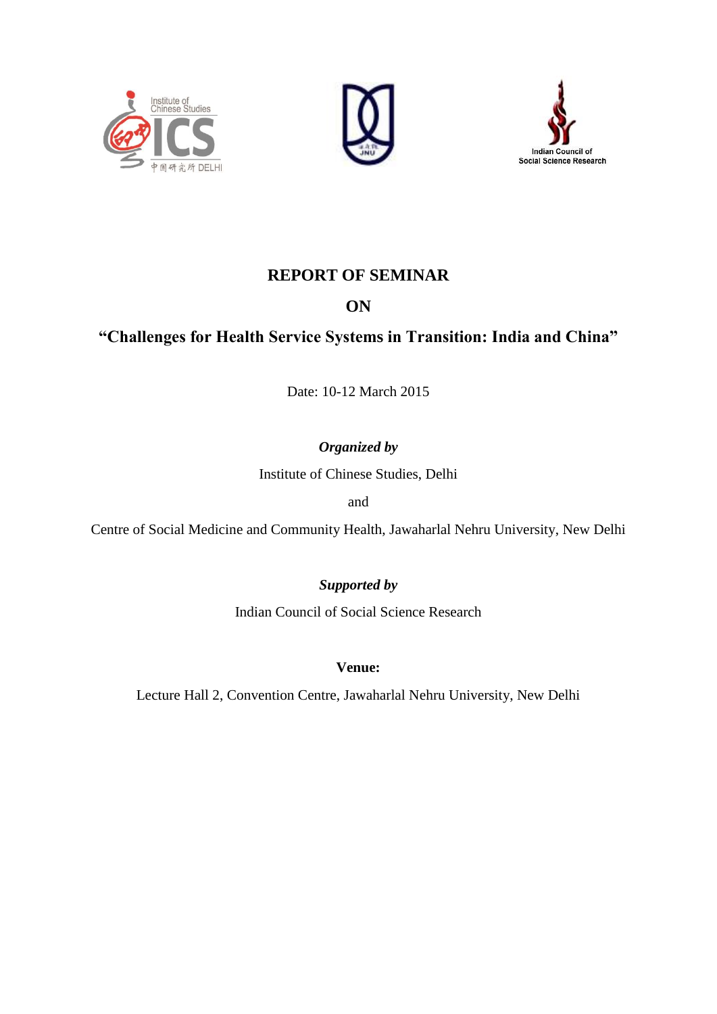





# **REPORT OF SEMINAR**

# **ON**

# **"Challenges for Health Service Systems in Transition: India and China"**

Date: 10-12 March 2015

# *Organized by*

Institute of Chinese Studies, Delhi

and

Centre of Social Medicine and Community Health, Jawaharlal Nehru University, New Delhi

# *Supported by*

Indian Council of Social Science Research

# **Venue:**

Lecture Hall 2, Convention Centre, Jawaharlal Nehru University, New Delhi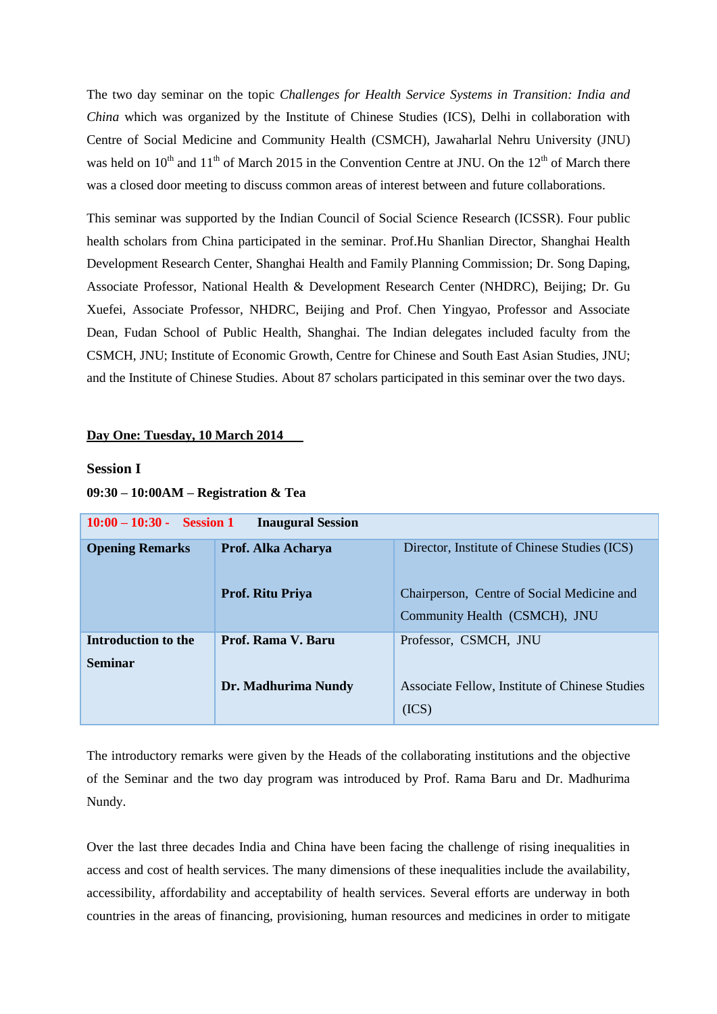The two day seminar on the topic *Challenges for Health Service Systems in Transition: India and China* which was organized by the Institute of Chinese Studies (ICS), Delhi in collaboration with Centre of Social Medicine and Community Health (CSMCH), Jawaharlal Nehru University (JNU) was held on  $10^{th}$  and  $11^{th}$  of March 2015 in the Convention Centre at JNU. On the  $12^{th}$  of March there was a closed door meeting to discuss common areas of interest between and future collaborations.

This seminar was supported by the Indian Council of Social Science Research (ICSSR). Four public health scholars from China participated in the seminar. Prof.Hu Shanlian Director, Shanghai Health Development Research Center, Shanghai Health and Family Planning Commission; Dr. Song Daping, Associate Professor, National Health & Development Research Center (NHDRC), Beijing; Dr. Gu Xuefei, Associate Professor, NHDRC, Beijing and Prof. Chen Yingyao, Professor and Associate Dean, Fudan School of Public Health, Shanghai. The Indian delegates included faculty from the CSMCH, JNU; Institute of Economic Growth, Centre for Chinese and South East Asian Studies, JNU; and the Institute of Chinese Studies. About 87 scholars participated in this seminar over the two days.

#### **Day One: Tuesday, 10 March 2014**

### **Session I**

#### **09:30 – 10:00AM – Registration & Tea**

| $10:00 - 10:30$ - Session 1<br><b>Inaugural Session</b> |                         |                                                                             |
|---------------------------------------------------------|-------------------------|-----------------------------------------------------------------------------|
| <b>Opening Remarks</b>                                  | Prof. Alka Acharya      | Director, Institute of Chinese Studies (ICS)                                |
|                                                         | <b>Prof. Ritu Priya</b> | Chairperson, Centre of Social Medicine and<br>Community Health (CSMCH), JNU |
| Introduction to the<br><b>Seminar</b>                   | Prof. Rama V. Baru      | Professor, CSMCH, JNU                                                       |
|                                                         | Dr. Madhurima Nundy     | Associate Fellow, Institute of Chinese Studies<br>(ICS)                     |

The introductory remarks were given by the Heads of the collaborating institutions and the objective of the Seminar and the two day program was introduced by Prof. Rama Baru and Dr. Madhurima Nundy.

Over the last three decades India and China have been facing the challenge of rising inequalities in access and cost of health services. The many dimensions of these inequalities include the availability, accessibility, affordability and acceptability of health services. Several efforts are underway in both countries in the areas of financing, provisioning, human resources and medicines in order to mitigate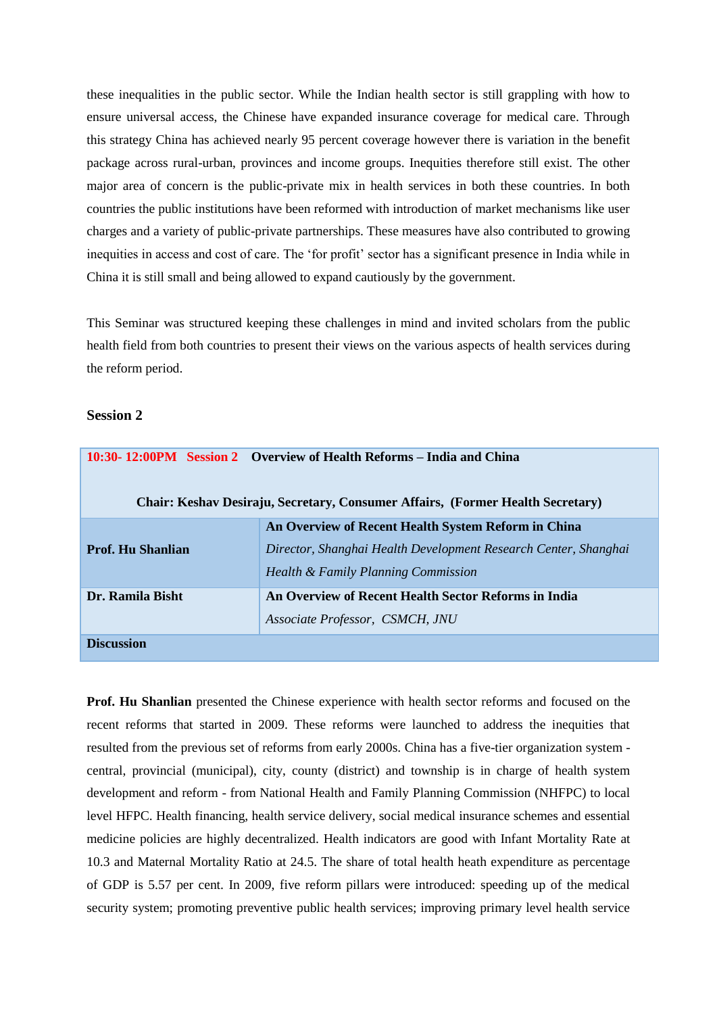these inequalities in the public sector. While the Indian health sector is still grappling with how to ensure universal access, the Chinese have expanded insurance coverage for medical care. Through this strategy China has achieved nearly 95 percent coverage however there is variation in the benefit package across rural-urban, provinces and income groups. Inequities therefore still exist. The other major area of concern is the public-private mix in health services in both these countries. In both countries the public institutions have been reformed with introduction of market mechanisms like user charges and a variety of public-private partnerships. These measures have also contributed to growing inequities in access and cost of care. The 'for profit' sector has a significant presence in India while in China it is still small and being allowed to expand cautiously by the government.

This Seminar was structured keeping these challenges in mind and invited scholars from the public health field from both countries to present their views on the various aspects of health services during the reform period.

### **Session 2**

| 10:30-12:00PM Session 2 Overview of Health Reforms – India and China<br>Chair: Keshav Desiraju, Secretary, Consumer Affairs, (Former Health Secretary) |                                                                                                                                                               |
|--------------------------------------------------------------------------------------------------------------------------------------------------------|---------------------------------------------------------------------------------------------------------------------------------------------------------------|
| <b>Prof. Hu Shanlian</b>                                                                                                                               | An Overview of Recent Health System Reform in China<br>Director, Shanghai Health Development Research Center, Shanghai<br>Health & Family Planning Commission |
| Dr. Ramila Bisht                                                                                                                                       | An Overview of Recent Health Sector Reforms in India<br>Associate Professor, CSMCH, JNU                                                                       |
| <b>Discussion</b>                                                                                                                                      |                                                                                                                                                               |

**Prof. Hu Shanlian** presented the Chinese experience with health sector reforms and focused on the recent reforms that started in 2009. These reforms were launched to address the inequities that resulted from the previous set of reforms from early 2000s. China has a five-tier organization system central, provincial (municipal), city, county (district) and township is in charge of health system development and reform - from National Health and Family Planning Commission (NHFPC) to local level HFPC. Health financing, health service delivery, social medical insurance schemes and essential medicine policies are highly decentralized. Health indicators are good with Infant Mortality Rate at 10.3 and Maternal Mortality Ratio at 24.5. The share of total health heath expenditure as percentage of GDP is 5.57 per cent. In 2009, five reform pillars were introduced: speeding up of the medical security system; promoting preventive public health services; improving primary level health service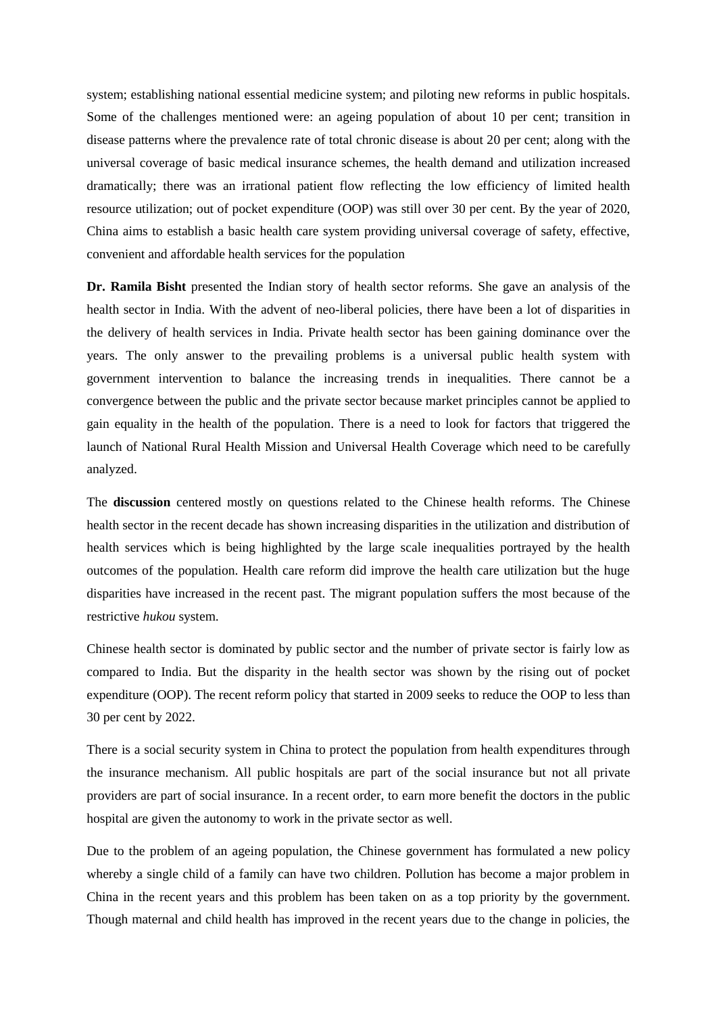system; establishing national essential medicine system; and piloting new reforms in public hospitals. Some of the challenges mentioned were: an ageing population of about 10 per cent; transition in disease patterns where the prevalence rate of total chronic disease is about 20 per cent; along with the universal coverage of basic medical insurance schemes, the health demand and utilization increased dramatically; there was an irrational patient flow reflecting the low efficiency of limited health resource utilization; out of pocket expenditure (OOP) was still over 30 per cent. By the year of 2020, China aims to establish a basic health care system providing universal coverage of safety, effective, convenient and affordable health services for the population

**Dr. Ramila Bisht** presented the Indian story of health sector reforms. She gave an analysis of the health sector in India. With the advent of neo-liberal policies, there have been a lot of disparities in the delivery of health services in India. Private health sector has been gaining dominance over the years. The only answer to the prevailing problems is a universal public health system with government intervention to balance the increasing trends in inequalities. There cannot be a convergence between the public and the private sector because market principles cannot be applied to gain equality in the health of the population. There is a need to look for factors that triggered the launch of National Rural Health Mission and Universal Health Coverage which need to be carefully analyzed.

The **discussion** centered mostly on questions related to the Chinese health reforms. The Chinese health sector in the recent decade has shown increasing disparities in the utilization and distribution of health services which is being highlighted by the large scale inequalities portrayed by the health outcomes of the population. Health care reform did improve the health care utilization but the huge disparities have increased in the recent past. The migrant population suffers the most because of the restrictive *hukou* system.

Chinese health sector is dominated by public sector and the number of private sector is fairly low as compared to India. But the disparity in the health sector was shown by the rising out of pocket expenditure (OOP). The recent reform policy that started in 2009 seeks to reduce the OOP to less than 30 per cent by 2022.

There is a social security system in China to protect the population from health expenditures through the insurance mechanism. All public hospitals are part of the social insurance but not all private providers are part of social insurance. In a recent order, to earn more benefit the doctors in the public hospital are given the autonomy to work in the private sector as well.

Due to the problem of an ageing population, the Chinese government has formulated a new policy whereby a single child of a family can have two children. Pollution has become a major problem in China in the recent years and this problem has been taken on as a top priority by the government. Though maternal and child health has improved in the recent years due to the change in policies, the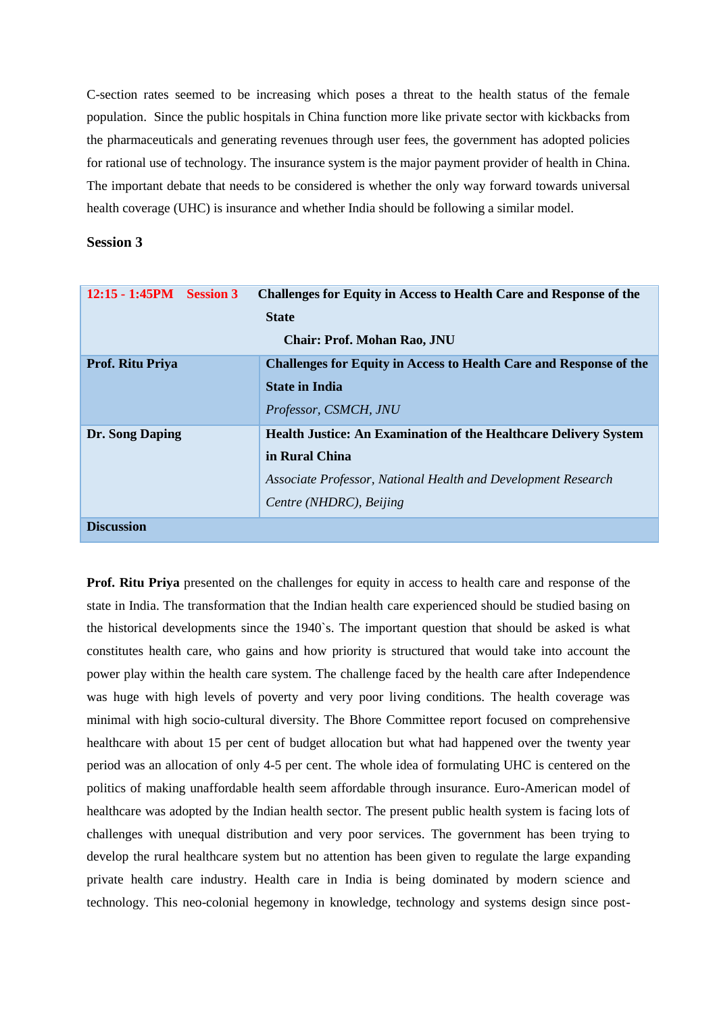C-section rates seemed to be increasing which poses a threat to the health status of the female population. Since the public hospitals in China function more like private sector with kickbacks from the pharmaceuticals and generating revenues through user fees, the government has adopted policies for rational use of technology. The insurance system is the major payment provider of health in China. The important debate that needs to be considered is whether the only way forward towards universal health coverage (UHC) is insurance and whether India should be following a similar model.

#### **Session 3**

| $12:15 - 1:45PM$ Session 3         | <b>Challenges for Equity in Access to Health Care and Response of the</b> |  |
|------------------------------------|---------------------------------------------------------------------------|--|
| <b>State</b>                       |                                                                           |  |
| <b>Chair: Prof. Mohan Rao, JNU</b> |                                                                           |  |
| Prof. Ritu Priya                   | <b>Challenges for Equity in Access to Health Care and Response of the</b> |  |
|                                    | <b>State in India</b>                                                     |  |
|                                    | Professor, CSMCH, JNU                                                     |  |
| Dr. Song Daping                    | <b>Health Justice: An Examination of the Healthcare Delivery System</b>   |  |
|                                    | in Rural China                                                            |  |
|                                    | Associate Professor, National Health and Development Research             |  |
|                                    | Centre (NHDRC), Beijing                                                   |  |
| <b>Discussion</b>                  |                                                                           |  |

**Prof. Ritu Priya** presented on the challenges for equity in access to health care and response of the state in India. The transformation that the Indian health care experienced should be studied basing on the historical developments since the 1940`s. The important question that should be asked is what constitutes health care, who gains and how priority is structured that would take into account the power play within the health care system. The challenge faced by the health care after Independence was huge with high levels of poverty and very poor living conditions. The health coverage was minimal with high socio-cultural diversity. The Bhore Committee report focused on comprehensive healthcare with about 15 per cent of budget allocation but what had happened over the twenty year period was an allocation of only 4-5 per cent. The whole idea of formulating UHC is centered on the politics of making unaffordable health seem affordable through insurance. Euro-American model of healthcare was adopted by the Indian health sector. The present public health system is facing lots of challenges with unequal distribution and very poor services. The government has been trying to develop the rural healthcare system but no attention has been given to regulate the large expanding private health care industry. Health care in India is being dominated by modern science and technology. This neo-colonial hegemony in knowledge, technology and systems design since post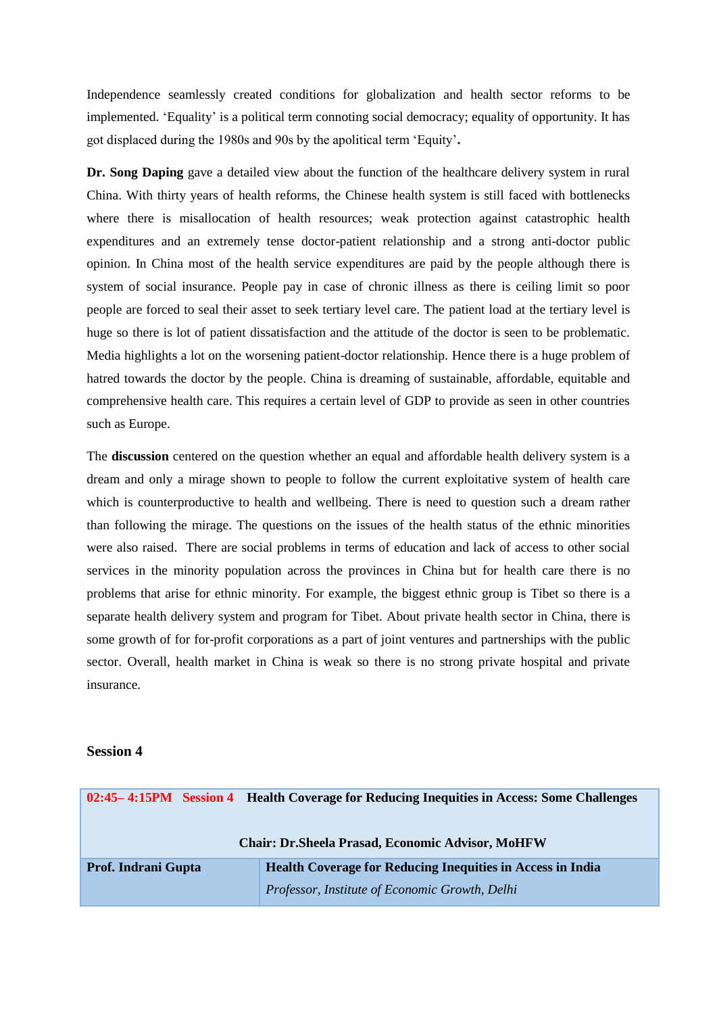Independence seamlessly created conditions for globalization and health sector reforms to be implemented. 'Equality' is a political term connoting social democracy; equality of opportunity. It has got displaced during the 1980s and 90s by the apolitical term 'Equity'**.**

**Dr. Song Daping** gave a detailed view about the function of the healthcare delivery system in rural China. With thirty years of health reforms, the Chinese health system is still faced with bottlenecks where there is misallocation of health resources; weak protection against catastrophic health expenditures and an extremely tense doctor-patient relationship and a strong anti-doctor public opinion. In China most of the health service expenditures are paid by the people although there is system of social insurance. People pay in case of chronic illness as there is ceiling limit so poor people are forced to seal their asset to seek tertiary level care. The patient load at the tertiary level is huge so there is lot of patient dissatisfaction and the attitude of the doctor is seen to be problematic. Media highlights a lot on the worsening patient-doctor relationship. Hence there is a huge problem of hatred towards the doctor by the people. China is dreaming of sustainable, affordable, equitable and comprehensive health care. This requires a certain level of GDP to provide as seen in other countries such as Europe.

The **discussion** centered on the question whether an equal and affordable health delivery system is a dream and only a mirage shown to people to follow the current exploitative system of health care which is counterproductive to health and wellbeing. There is need to question such a dream rather than following the mirage. The questions on the issues of the health status of the ethnic minorities were also raised. There are social problems in terms of education and lack of access to other social services in the minority population across the provinces in China but for health care there is no problems that arise for ethnic minority. For example, the biggest ethnic group is Tibet so there is a separate health delivery system and program for Tibet. About private health sector in China, there is some growth of for for-profit corporations as a part of joint ventures and partnerships with the public sector. Overall, health market in China is weak so there is no strong private hospital and private insurance.

#### **Session 4**

|                            | 02:45–4:15PM Session 4 Health Coverage for Reducing Inequities in Access: Some Challenges |
|----------------------------|-------------------------------------------------------------------------------------------|
|                            | <b>Chair: Dr.Sheela Prasad, Economic Advisor, MoHFW</b>                                   |
| <b>Prof. Indrani Gupta</b> | <b>Health Coverage for Reducing Inequities in Access in India</b>                         |
|                            | Professor, Institute of Economic Growth, Delhi                                            |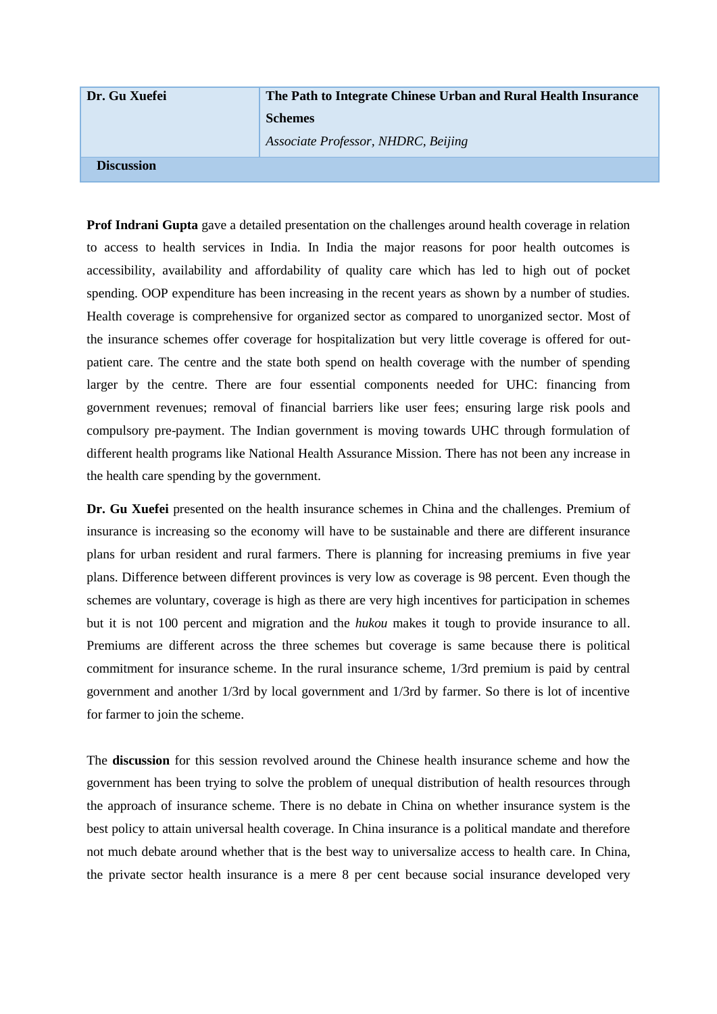| Dr. Gu Xuefei     | The Path to Integrate Chinese Urban and Rural Health Insurance |  |
|-------------------|----------------------------------------------------------------|--|
|                   | <b>Schemes</b>                                                 |  |
|                   | Associate Professor, NHDRC, Beijing                            |  |
| <b>Discussion</b> |                                                                |  |

**Prof Indrani Gupta** gave a detailed presentation on the challenges around health coverage in relation to access to health services in India. In India the major reasons for poor health outcomes is accessibility, availability and affordability of quality care which has led to high out of pocket spending. OOP expenditure has been increasing in the recent years as shown by a number of studies. Health coverage is comprehensive for organized sector as compared to unorganized sector. Most of the insurance schemes offer coverage for hospitalization but very little coverage is offered for outpatient care. The centre and the state both spend on health coverage with the number of spending larger by the centre. There are four essential components needed for UHC: financing from government revenues; removal of financial barriers like user fees; ensuring large risk pools and compulsory pre-payment. The Indian government is moving towards UHC through formulation of different health programs like National Health Assurance Mission. There has not been any increase in the health care spending by the government.

**Dr. Gu Xuefei** presented on the health insurance schemes in China and the challenges. Premium of insurance is increasing so the economy will have to be sustainable and there are different insurance plans for urban resident and rural farmers. There is planning for increasing premiums in five year plans. Difference between different provinces is very low as coverage is 98 percent. Even though the schemes are voluntary, coverage is high as there are very high incentives for participation in schemes but it is not 100 percent and migration and the *hukou* makes it tough to provide insurance to all. Premiums are different across the three schemes but coverage is same because there is political commitment for insurance scheme. In the rural insurance scheme, 1/3rd premium is paid by central government and another 1/3rd by local government and 1/3rd by farmer. So there is lot of incentive for farmer to join the scheme.

The **discussion** for this session revolved around the Chinese health insurance scheme and how the government has been trying to solve the problem of unequal distribution of health resources through the approach of insurance scheme. There is no debate in China on whether insurance system is the best policy to attain universal health coverage. In China insurance is a political mandate and therefore not much debate around whether that is the best way to universalize access to health care. In China, the private sector health insurance is a mere 8 per cent because social insurance developed very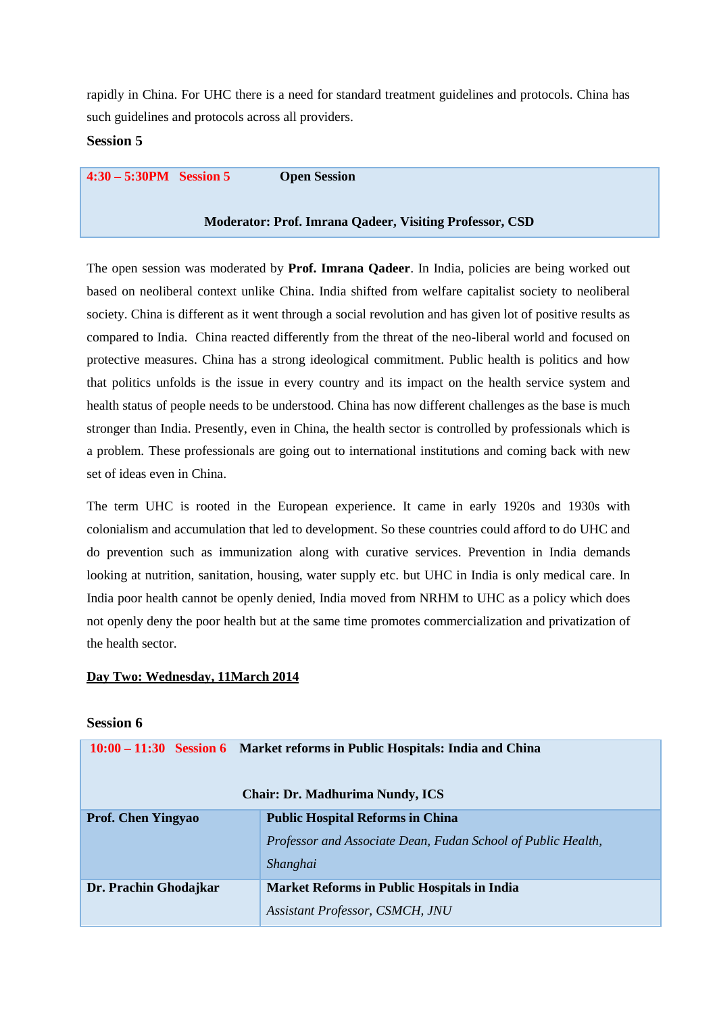rapidly in China. For UHC there is a need for standard treatment guidelines and protocols. China has such guidelines and protocols across all providers.

#### **Session 5**

**4:30 – 5:30PM Session 5 Open Session**

#### **Moderator: Prof. Imrana Qadeer, Visiting Professor, CSD**

The open session was moderated by **Prof. Imrana Qadeer**. In India, policies are being worked out based on neoliberal context unlike China. India shifted from welfare capitalist society to neoliberal society. China is different as it went through a social revolution and has given lot of positive results as compared to India. China reacted differently from the threat of the neo-liberal world and focused on protective measures. China has a strong ideological commitment. Public health is politics and how that politics unfolds is the issue in every country and its impact on the health service system and health status of people needs to be understood. China has now different challenges as the base is much stronger than India. Presently, even in China, the health sector is controlled by professionals which is a problem. These professionals are going out to international institutions and coming back with new set of ideas even in China.

The term UHC is rooted in the European experience. It came in early 1920s and 1930s with colonialism and accumulation that led to development. So these countries could afford to do UHC and do prevention such as immunization along with curative services. Prevention in India demands looking at nutrition, sanitation, housing, water supply etc. but UHC in India is only medical care. In India poor health cannot be openly denied, India moved from NRHM to UHC as a policy which does not openly deny the poor health but at the same time promotes commercialization and privatization of the health sector.

#### **Day Two: Wednesday, 11March 2014**

### **Session 6**

|                           | 10:00 – 11:30 Session 6 Market reforms in Public Hospitals: India and China                                         |
|---------------------------|---------------------------------------------------------------------------------------------------------------------|
|                           | <b>Chair: Dr. Madhurima Nundy, ICS</b>                                                                              |
| <b>Prof. Chen Yingyao</b> | <b>Public Hospital Reforms in China</b><br>Professor and Associate Dean, Fudan School of Public Health,<br>Shanghai |
| Dr. Prachin Ghodajkar     | <b>Market Reforms in Public Hospitals in India</b><br>Assistant Professor, CSMCH, JNU                               |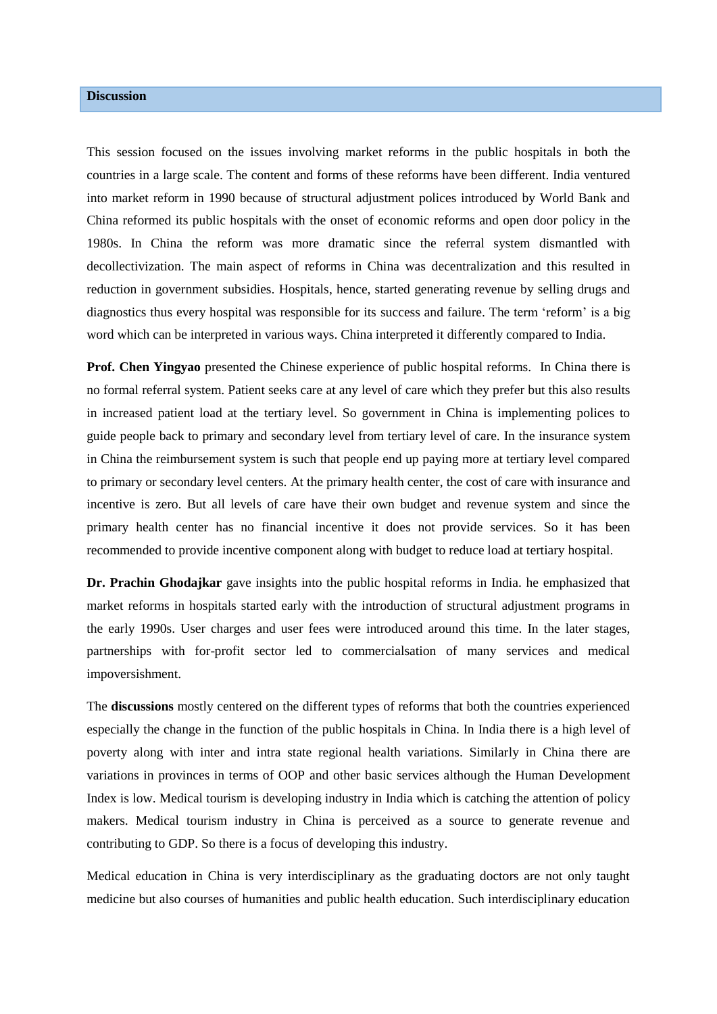## **Discussion**

This session focused on the issues involving market reforms in the public hospitals in both the countries in a large scale. The content and forms of these reforms have been different. India ventured into market reform in 1990 because of structural adjustment polices introduced by World Bank and China reformed its public hospitals with the onset of economic reforms and open door policy in the 1980s. In China the reform was more dramatic since the referral system dismantled with decollectivization. The main aspect of reforms in China was decentralization and this resulted in reduction in government subsidies. Hospitals, hence, started generating revenue by selling drugs and diagnostics thus every hospital was responsible for its success and failure. The term 'reform' is a big word which can be interpreted in various ways. China interpreted it differently compared to India.

**Prof. Chen Yingyao** presented the Chinese experience of public hospital reforms. In China there is no formal referral system. Patient seeks care at any level of care which they prefer but this also results in increased patient load at the tertiary level. So government in China is implementing polices to guide people back to primary and secondary level from tertiary level of care. In the insurance system in China the reimbursement system is such that people end up paying more at tertiary level compared to primary or secondary level centers. At the primary health center, the cost of care with insurance and incentive is zero. But all levels of care have their own budget and revenue system and since the primary health center has no financial incentive it does not provide services. So it has been recommended to provide incentive component along with budget to reduce load at tertiary hospital.

**Dr. Prachin Ghodajkar** gave insights into the public hospital reforms in India. he emphasized that market reforms in hospitals started early with the introduction of structural adjustment programs in the early 1990s. User charges and user fees were introduced around this time. In the later stages, partnerships with for-profit sector led to commercialsation of many services and medical impoversishment.

The **discussions** mostly centered on the different types of reforms that both the countries experienced especially the change in the function of the public hospitals in China. In India there is a high level of poverty along with inter and intra state regional health variations. Similarly in China there are variations in provinces in terms of OOP and other basic services although the Human Development Index is low. Medical tourism is developing industry in India which is catching the attention of policy makers. Medical tourism industry in China is perceived as a source to generate revenue and contributing to GDP. So there is a focus of developing this industry.

Medical education in China is very interdisciplinary as the graduating doctors are not only taught medicine but also courses of humanities and public health education. Such interdisciplinary education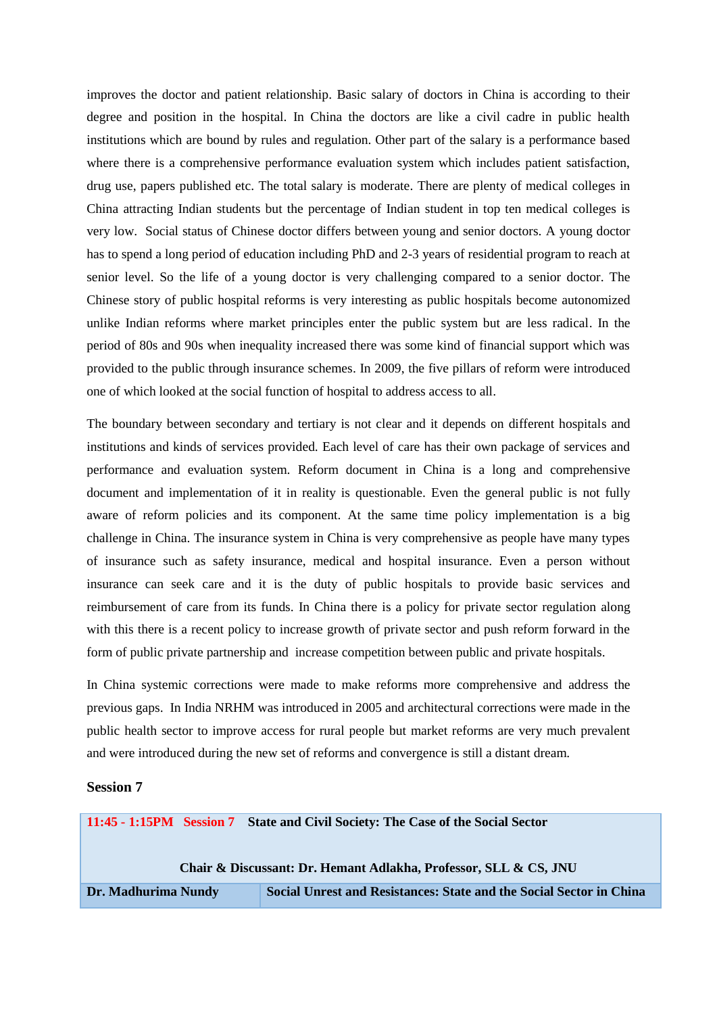improves the doctor and patient relationship. Basic salary of doctors in China is according to their degree and position in the hospital. In China the doctors are like a civil cadre in public health institutions which are bound by rules and regulation. Other part of the salary is a performance based where there is a comprehensive performance evaluation system which includes patient satisfaction, drug use, papers published etc. The total salary is moderate. There are plenty of medical colleges in China attracting Indian students but the percentage of Indian student in top ten medical colleges is very low. Social status of Chinese doctor differs between young and senior doctors. A young doctor has to spend a long period of education including PhD and 2-3 years of residential program to reach at senior level. So the life of a young doctor is very challenging compared to a senior doctor. The Chinese story of public hospital reforms is very interesting as public hospitals become autonomized unlike Indian reforms where market principles enter the public system but are less radical. In the period of 80s and 90s when inequality increased there was some kind of financial support which was provided to the public through insurance schemes. In 2009, the five pillars of reform were introduced one of which looked at the social function of hospital to address access to all.

The boundary between secondary and tertiary is not clear and it depends on different hospitals and institutions and kinds of services provided. Each level of care has their own package of services and performance and evaluation system. Reform document in China is a long and comprehensive document and implementation of it in reality is questionable. Even the general public is not fully aware of reform policies and its component. At the same time policy implementation is a big challenge in China. The insurance system in China is very comprehensive as people have many types of insurance such as safety insurance, medical and hospital insurance. Even a person without insurance can seek care and it is the duty of public hospitals to provide basic services and reimbursement of care from its funds. In China there is a policy for private sector regulation along with this there is a recent policy to increase growth of private sector and push reform forward in the form of public private partnership and increase competition between public and private hospitals.

In China systemic corrections were made to make reforms more comprehensive and address the previous gaps. In India NRHM was introduced in 2005 and architectural corrections were made in the public health sector to improve access for rural people but market reforms are very much prevalent and were introduced during the new set of reforms and convergence is still a distant dream.

#### **Session 7**

|                                                                  |  | 11:45 - 1:15PM Session 7 State and Civil Society: The Case of the Social Sector |
|------------------------------------------------------------------|--|---------------------------------------------------------------------------------|
| Chair & Discussant: Dr. Hemant Adlakha, Professor, SLL & CS, JNU |  |                                                                                 |
| Dr. Madhurima Nundy                                              |  | Social Unrest and Resistances: State and the Social Sector in China             |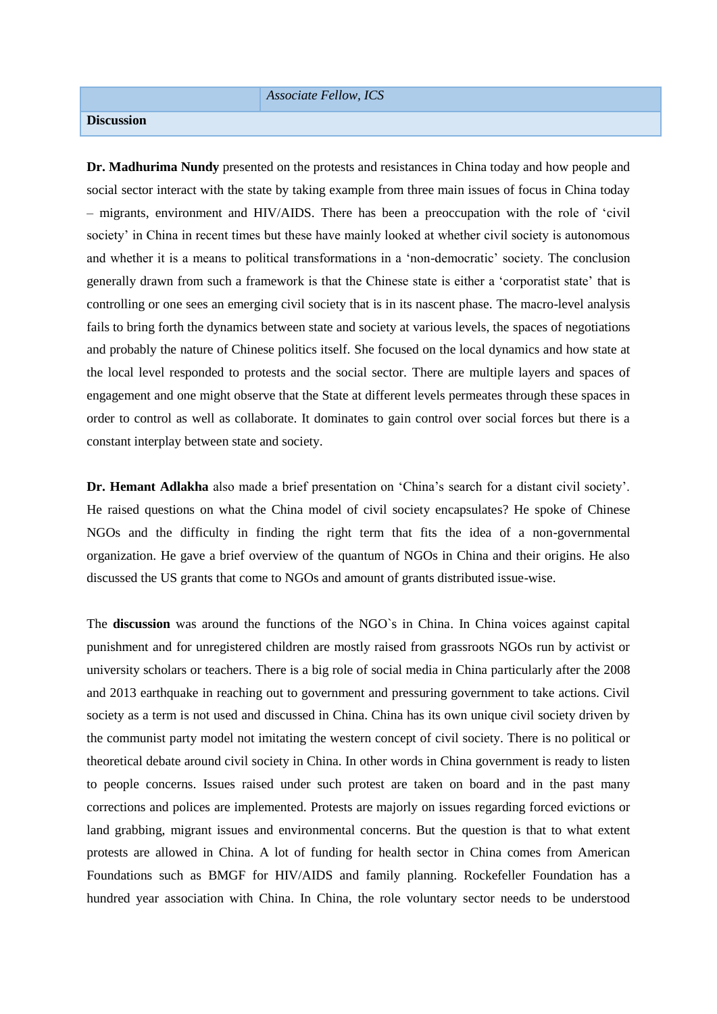#### *Associate Fellow, ICS*

#### **Discussion**

**Dr. Madhurima Nundy** presented on the protests and resistances in China today and how people and social sector interact with the state by taking example from three main issues of focus in China today – migrants, environment and HIV/AIDS. There has been a preoccupation with the role of 'civil society' in China in recent times but these have mainly looked at whether civil society is autonomous and whether it is a means to political transformations in a 'non-democratic' society. The conclusion generally drawn from such a framework is that the Chinese state is either a 'corporatist state' that is controlling or one sees an emerging civil society that is in its nascent phase. The macro-level analysis fails to bring forth the dynamics between state and society at various levels, the spaces of negotiations and probably the nature of Chinese politics itself. She focused on the local dynamics and how state at the local level responded to protests and the social sector. There are multiple layers and spaces of engagement and one might observe that the State at different levels permeates through these spaces in order to control as well as collaborate. It dominates to gain control over social forces but there is a constant interplay between state and society.

**Dr. Hemant Adlakha** also made a brief presentation on 'China's search for a distant civil society'. He raised questions on what the China model of civil society encapsulates? He spoke of Chinese NGOs and the difficulty in finding the right term that fits the idea of a non-governmental organization. He gave a brief overview of the quantum of NGOs in China and their origins. He also discussed the US grants that come to NGOs and amount of grants distributed issue-wise.

The **discussion** was around the functions of the NGO`s in China. In China voices against capital punishment and for unregistered children are mostly raised from grassroots NGOs run by activist or university scholars or teachers. There is a big role of social media in China particularly after the 2008 and 2013 earthquake in reaching out to government and pressuring government to take actions. Civil society as a term is not used and discussed in China. China has its own unique civil society driven by the communist party model not imitating the western concept of civil society. There is no political or theoretical debate around civil society in China. In other words in China government is ready to listen to people concerns. Issues raised under such protest are taken on board and in the past many corrections and polices are implemented. Protests are majorly on issues regarding forced evictions or land grabbing, migrant issues and environmental concerns. But the question is that to what extent protests are allowed in China. A lot of funding for health sector in China comes from American Foundations such as BMGF for HIV/AIDS and family planning. Rockefeller Foundation has a hundred year association with China. In China, the role voluntary sector needs to be understood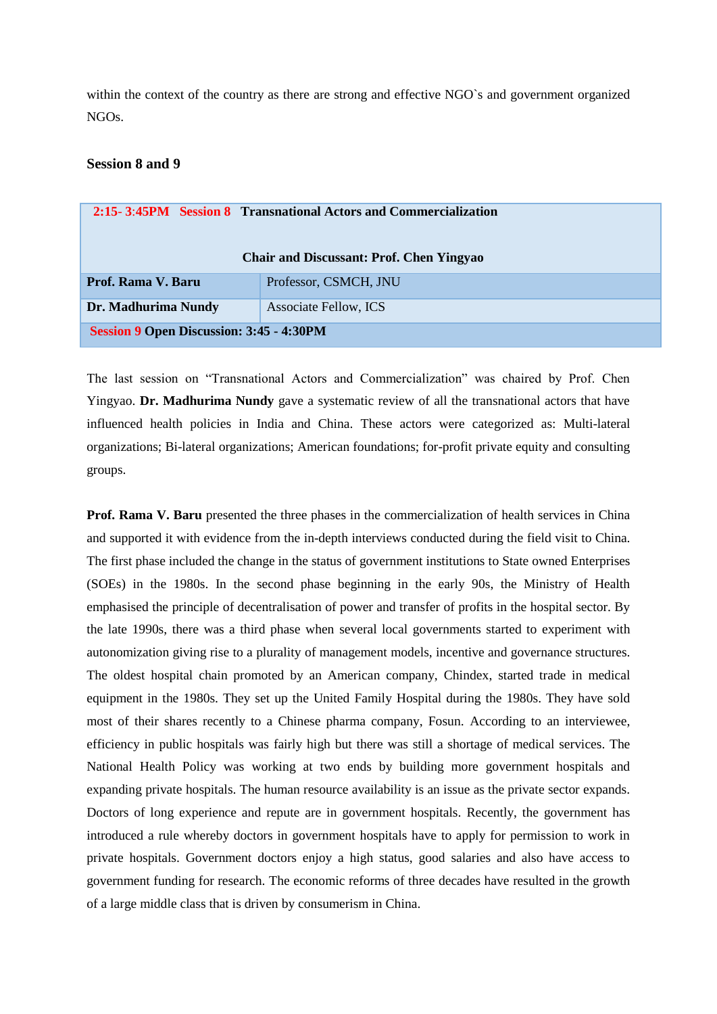within the context of the country as there are strong and effective NGO`s and government organized NGOs.

### **Session 8 and 9**

|                                                 | 2:15-3:45PM Session 8 Transnational Actors and Commercialization |
|-------------------------------------------------|------------------------------------------------------------------|
|                                                 | <b>Chair and Discussant: Prof. Chen Yingyao</b>                  |
| Prof. Rama V. Baru                              | Professor, CSMCH, JNU                                            |
| Dr. Madhurima Nundy                             | <b>Associate Fellow, ICS</b>                                     |
| <b>Session 9 Open Discussion: 3:45 - 4:30PM</b> |                                                                  |

The last session on "Transnational Actors and Commercialization" was chaired by Prof. Chen Yingyao. **Dr. Madhurima Nundy** gave a systematic review of all the transnational actors that have influenced health policies in India and China. These actors were categorized as: Multi-lateral organizations; Bi-lateral organizations; American foundations; for-profit private equity and consulting groups.

**Prof. Rama V. Baru** presented the three phases in the commercialization of health services in China and supported it with evidence from the in-depth interviews conducted during the field visit to China. The first phase included the change in the status of government institutions to State owned Enterprises (SOEs) in the 1980s. In the second phase beginning in the early 90s, the Ministry of Health emphasised the principle of decentralisation of power and transfer of profits in the hospital sector. By the late 1990s, there was a third phase when several local governments started to experiment with autonomization giving rise to a plurality of management models, incentive and governance structures. The oldest hospital chain promoted by an American company, Chindex, started trade in medical equipment in the 1980s. They set up the United Family Hospital during the 1980s. They have sold most of their shares recently to a Chinese pharma company, Fosun. According to an interviewee, efficiency in public hospitals was fairly high but there was still a shortage of medical services. The National Health Policy was working at two ends by building more government hospitals and expanding private hospitals. The human resource availability is an issue as the private sector expands. Doctors of long experience and repute are in government hospitals. Recently, the government has introduced a rule whereby doctors in government hospitals have to apply for permission to work in private hospitals. Government doctors enjoy a high status, good salaries and also have access to government funding for research. The economic reforms of three decades have resulted in the growth of a large middle class that is driven by consumerism in China.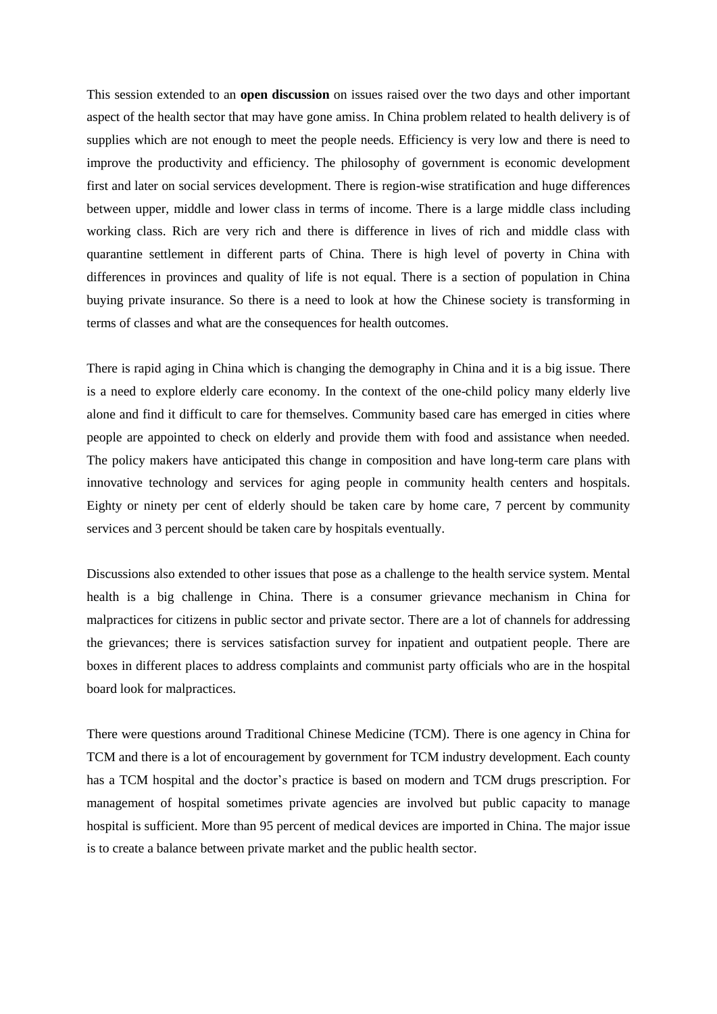This session extended to an **open discussion** on issues raised over the two days and other important aspect of the health sector that may have gone amiss. In China problem related to health delivery is of supplies which are not enough to meet the people needs. Efficiency is very low and there is need to improve the productivity and efficiency. The philosophy of government is economic development first and later on social services development. There is region-wise stratification and huge differences between upper, middle and lower class in terms of income. There is a large middle class including working class. Rich are very rich and there is difference in lives of rich and middle class with quarantine settlement in different parts of China. There is high level of poverty in China with differences in provinces and quality of life is not equal. There is a section of population in China buying private insurance. So there is a need to look at how the Chinese society is transforming in terms of classes and what are the consequences for health outcomes.

There is rapid aging in China which is changing the demography in China and it is a big issue. There is a need to explore elderly care economy. In the context of the one-child policy many elderly live alone and find it difficult to care for themselves. Community based care has emerged in cities where people are appointed to check on elderly and provide them with food and assistance when needed. The policy makers have anticipated this change in composition and have long-term care plans with innovative technology and services for aging people in community health centers and hospitals. Eighty or ninety per cent of elderly should be taken care by home care, 7 percent by community services and 3 percent should be taken care by hospitals eventually.

Discussions also extended to other issues that pose as a challenge to the health service system. Mental health is a big challenge in China. There is a consumer grievance mechanism in China for malpractices for citizens in public sector and private sector. There are a lot of channels for addressing the grievances; there is services satisfaction survey for inpatient and outpatient people. There are boxes in different places to address complaints and communist party officials who are in the hospital board look for malpractices.

There were questions around Traditional Chinese Medicine (TCM). There is one agency in China for TCM and there is a lot of encouragement by government for TCM industry development. Each county has a TCM hospital and the doctor's practice is based on modern and TCM drugs prescription. For management of hospital sometimes private agencies are involved but public capacity to manage hospital is sufficient. More than 95 percent of medical devices are imported in China. The major issue is to create a balance between private market and the public health sector.